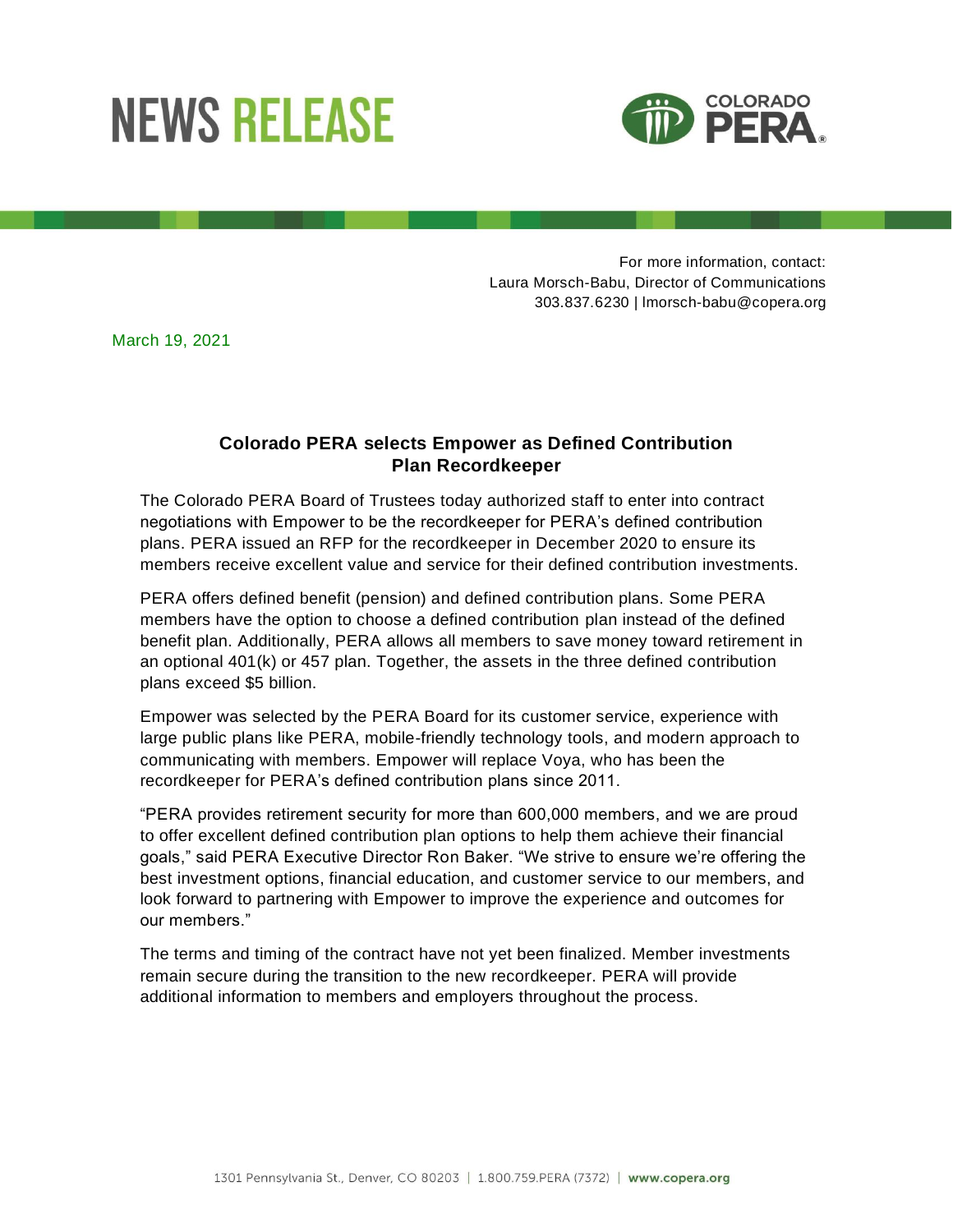## **NEWS RELEASE**



For more information, contact: Laura Morsch-Babu, Director of Communications 303.837.6230 | lmorsch-babu@copera.org

March 19, 2021

## **Colorado PERA selects Empower as Defined Contribution Plan Recordkeeper**

The Colorado PERA Board of Trustees today authorized staff to enter into contract negotiations with Empower to be the recordkeeper for PERA's defined contribution plans. PERA issued an RFP for the recordkeeper in December 2020 to ensure its members receive excellent value and service for their defined contribution investments.

PERA offers defined benefit (pension) and defined contribution plans. Some PERA members have the option to choose a defined contribution plan instead of the defined benefit plan. Additionally, PERA allows all members to save money toward retirement in an optional 401(k) or 457 plan. Together, the assets in the three defined contribution plans exceed \$5 billion.

Empower was selected by the PERA Board for its customer service, experience with large public plans like PERA, mobile-friendly technology tools, and modern approach to communicating with members. Empower will replace Voya, who has been the recordkeeper for PERA's defined contribution plans since 2011.

"PERA provides retirement security for more than 600,000 members, and we are proud to offer excellent defined contribution plan options to help them achieve their financial goals," said PERA Executive Director Ron Baker. "We strive to ensure we're offering the best investment options, financial education, and customer service to our members, and look forward to partnering with Empower to improve the experience and outcomes for our members."

The terms and timing of the contract have not yet been finalized. Member investments remain secure during the transition to the new recordkeeper. PERA will provide additional information to members and employers throughout the process.